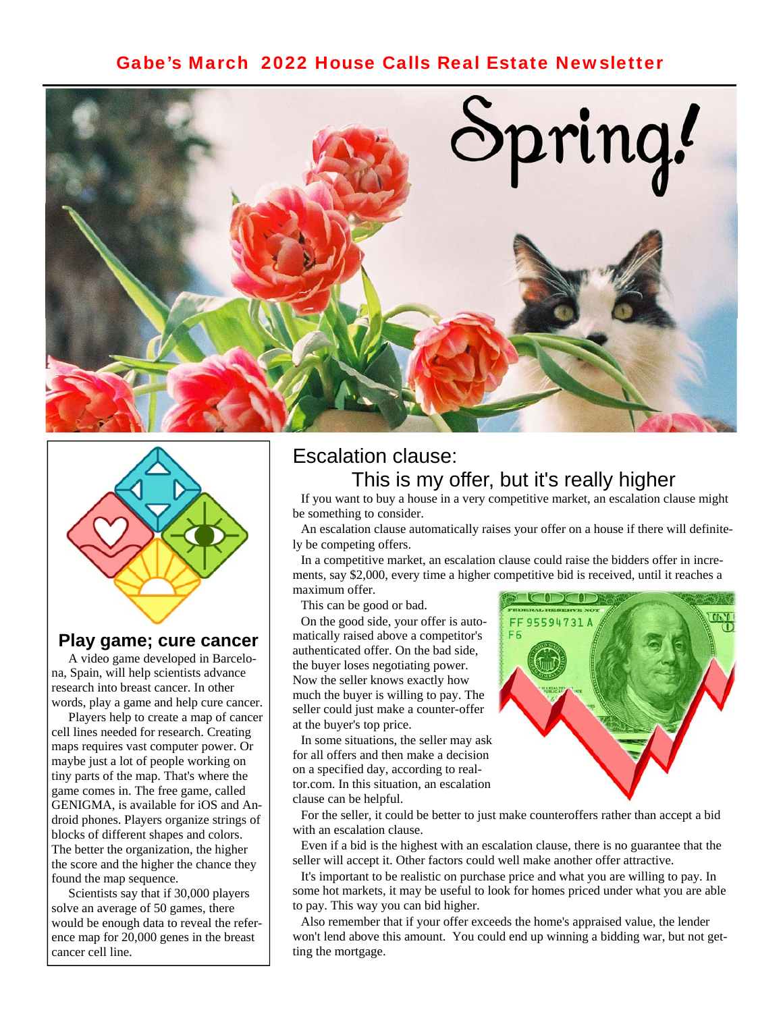## [Gabe's March 2022 House Calls Real Estate Newsletter](https://www.gabesanders.com/housecalls-newsletter.php)





### **Play game; cure cancer**

 A video game developed in Barcelona, Spain, will help scientists advance research into breast cancer. In other words, play a game and help cure cancer.

 Players help to create a map of cancer cell lines needed for research. Creating maps requires vast computer power. Or maybe just a lot of people working on tiny parts of the map. That's where the game comes in. The free game, called GENIGMA, is available for iOS and Android phones. Players organize strings of blocks of different shapes and colors. The better the organization, the higher the score and the higher the chance they found the map sequence.

 Scientists say that if 30,000 players solve an average of 50 games, there would be enough data to reveal the reference map for 20,000 genes in the breast cancer cell line.

# Escalation clause: This is my offer, but it's really higher

 If you want to buy a house in a very competitive market, an escalation clause might be something to consider.

 An escalation clause automatically raises your offer on a house if there will definitely be competing offers.

 In a competitive market, an escalation clause could raise the bidders offer in increments, say \$2,000, every time a higher competitive bid is received, until it reaches a maximum offer.

This can be good or bad.

 On the good side, your offer is automatically raised above a competitor's authenticated offer. On the bad side, the buyer loses negotiating power. Now the seller knows exactly how much the buyer is willing to pay. The seller could just make a counter-offer at the buyer's top price.

 In some situations, the seller may ask for all offers and then make a decision on a specified day, according to realtor.com. In this situation, an escalation clause can be helpful.



 For the seller, it could be better to just make counteroffers rather than accept a bid with an escalation clause.

 Even if a bid is the highest with an escalation clause, there is no guarantee that the seller will accept it. Other factors could well make another offer attractive.

 It's important to be realistic on purchase price and what you are willing to pay. In some hot markets, it may be useful to look for homes priced under what you are able to pay. This way you can bid higher.

 Also remember that if your offer exceeds the home's appraised value, the lender won't lend above this amount. You could end up winning a bidding war, but not getting the mortgage.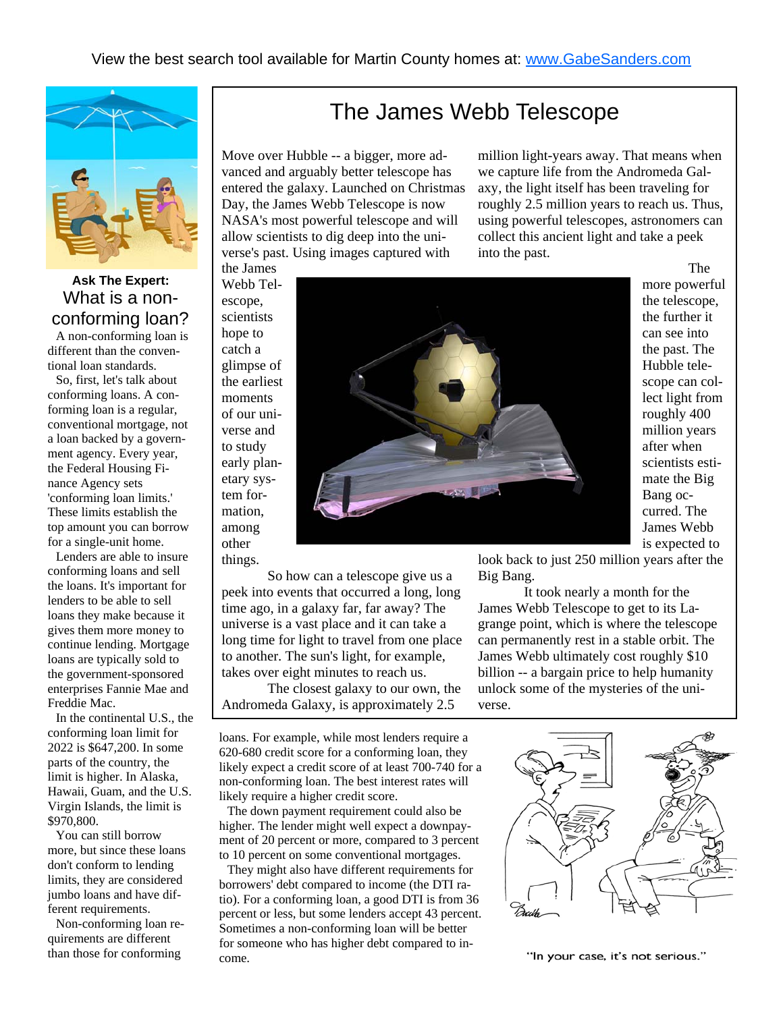

**[Ask The Expert:](https://www.gabesanders.com/staff/gabe-sanders)**  What is a nonconforming loan?

 A non-conforming loan is different than the conventional loan standards.

 So, first, let's talk about conforming loans. A conforming loan is a regular, conventional mortgage, not a loan backed by a government agency. Every year, the Federal Housing Finance Agency sets 'conforming loan limits.' These limits establish the top amount you can borrow for a single-unit home.

 Lenders are able to insure conforming loans and sell the loans. It's important for lenders to be able to sell loans they make because it gives them more money to continue lending. Mortgage loans are typically sold to the government-sponsored enterprises Fannie Mae and Freddie Mac.

 In the continental U.S., the conforming loan limit for 2022 is \$647,200. In some parts of the country, the limit is higher. In Alaska, Hawaii, Guam, and the U.S. Virgin Islands, the limit is \$970,800.

 You can still borrow more, but since these loans don't conform to lending limits, they are considered jumbo loans and have different requirements.

 Non-conforming loan requirements are different than those for conforming

# The James Webb Telescope

Move over Hubble -- a bigger, more advanced and arguably better telescope has entered the galaxy. Launched on Christmas Day, the James Webb Telescope is now NASA's most powerful telescope and will allow scientists to dig deep into the universe's past. Using images captured with the James

million light-years away. That means when we capture life from the Andromeda Galaxy, the light itself has been traveling for roughly 2.5 million years to reach us. Thus, using powerful telescopes, astronomers can collect this ancient light and take a peek into the past.

Webb Telescope, scientists hope to catch a glimpse of the earliest moments of our universe and to study early planetary system formation, among other things.

 So how can a telescope give us a peek into events that occurred a long, long time ago, in a galaxy far, far away? The universe is a vast place and it can take a long time for light to travel from one place to another. The sun's light, for example, takes over eight minutes to reach us.

 The closest galaxy to our own, the Andromeda Galaxy, is approximately 2.5

loans. For example, while most lenders require a 620-680 credit score for a conforming loan, they likely expect a credit score of at least 700-740 for a non-conforming loan. The best interest rates will likely require a higher credit score.

 The down payment requirement could also be higher. The lender might well expect a downpayment of 20 percent or more, compared to 3 percent to 10 percent on some conventional mortgages.

 They might also have different requirements for borrowers' debt compared to income (the DTI ratio). For a conforming loan, a good DTI is from 36 percent or less, but some lenders accept 43 percent. Sometimes a non-conforming loan will be better for someone who has higher debt compared to income.



 The more powerful the telescope, the further it can see into the past. The Hubble telescope can collect light from roughly 400 million years after when scientists estimate the Big Bang occurred. The James Webb is expected to

look back to just 250 million years after the Big Bang.

 It took nearly a month for the James Webb Telescope to get to its Lagrange point, which is where the telescope can permanently rest in a stable orbit. The James Webb ultimately cost roughly \$10 billion -- a bargain price to help humanity unlock some of the mysteries of the universe.



"In your case, it's not serious."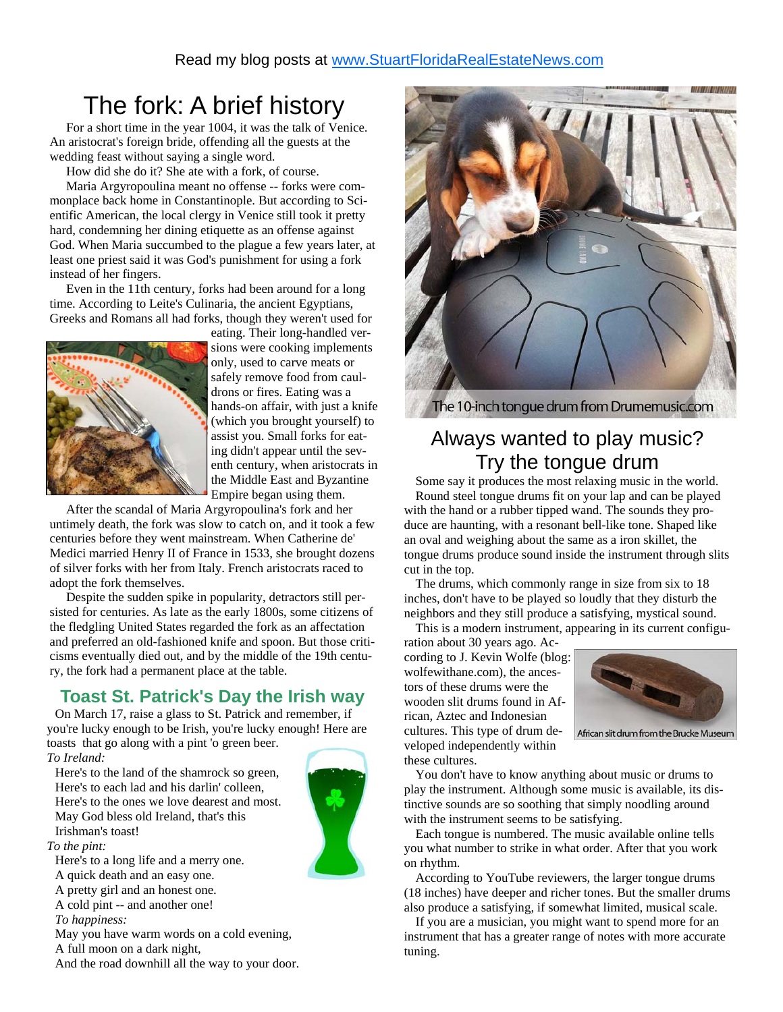# The fork: A brief history

 For a short time in the year 1004, it was the talk of Venice. An aristocrat's foreign bride, offending all the guests at the wedding feast without saying a single word.

How did she do it? She ate with a fork, of course.

 Maria Argyropoulina meant no offense -- forks were commonplace back home in Constantinople. But according to Scientific American, the local clergy in Venice still took it pretty hard, condemning her dining etiquette as an offense against God. When Maria succumbed to the plague a few years later, at least one priest said it was God's punishment for using a fork instead of her fingers.

 Even in the 11th century, forks had been around for a long time. According to Leite's Culinaria, the ancient Egyptians, Greeks and Romans all had forks, though they weren't used for



eating. Their long-handled versions were cooking implements only, used to carve meats or safely remove food from cauldrons or fires. Eating was a hands-on affair, with just a knife (which you brought yourself) to assist you. Small forks for eating didn't appear until the seventh century, when aristocrats in the Middle East and Byzantine Empire began using them.

 After the scandal of Maria Argyropoulina's fork and her untimely death, the fork was slow to catch on, and it took a few centuries before they went mainstream. When Catherine de' Medici married Henry II of France in 1533, she brought dozens of silver forks with her from Italy. French aristocrats raced to adopt the fork themselves.

 Despite the sudden spike in popularity, detractors still persisted for centuries. As late as the early 1800s, some citizens of the fledgling United States regarded the fork as an affectation and preferred an old-fashioned knife and spoon. But those criticisms eventually died out, and by the middle of the 19th century, the fork had a permanent place at the table.

## **Toast St. Patrick's Day the Irish way**

 On March 17, raise a glass to St. Patrick and remember, if you're lucky enough to be Irish, you're lucky enough! Here are toasts that go along with a pint 'o green beer.

*To Ireland:* 

 Here's to the land of the shamrock so green, Here's to each lad and his darlin' colleen, Here's to the ones we love dearest and most. May God bless old Ireland, that's this Irishman's toast!

*To the pint:* 

Here's to a long life and a merry one.

A quick death and an easy one.

A pretty girl and an honest one.

A cold pint -- and another one!

 *To happiness:* 

May you have warm words on a cold evening,

A full moon on a dark night,

And the road downhill all the way to your door.



# Always wanted to play music? Try the tongue drum

 Some say it produces the most relaxing music in the world. Round steel tongue drums fit on your lap and can be played with the hand or a rubber tipped wand. The sounds they produce are haunting, with a resonant bell-like tone. Shaped like an oval and weighing about the same as a iron skillet, the tongue drums produce sound inside the instrument through slits cut in the top.

 The drums, which commonly range in size from six to 18 inches, don't have to be played so loudly that they disturb the neighbors and they still produce a satisfying, mystical sound.

This is a modern instrument, appearing in its current configu-

ration about 30 years ago. According to J. Kevin Wolfe (blog: wolfewithane.com), the ancestors of these drums were the wooden slit drums found in African, Aztec and Indonesian cultures. This type of drum developed independently within



African slit drum from the Brucke Museum

these cultures.

 You don't have to know anything about music or drums to play the instrument. Although some music is available, its distinctive sounds are so soothing that simply noodling around with the instrument seems to be satisfying.

 Each tongue is numbered. The music available online tells you what number to strike in what order. After that you work on rhythm.

 According to YouTube reviewers, the larger tongue drums (18 inches) have deeper and richer tones. But the smaller drums also produce a satisfying, if somewhat limited, musical scale.

 If you are a musician, you might want to spend more for an instrument that has a greater range of notes with more accurate tuning.